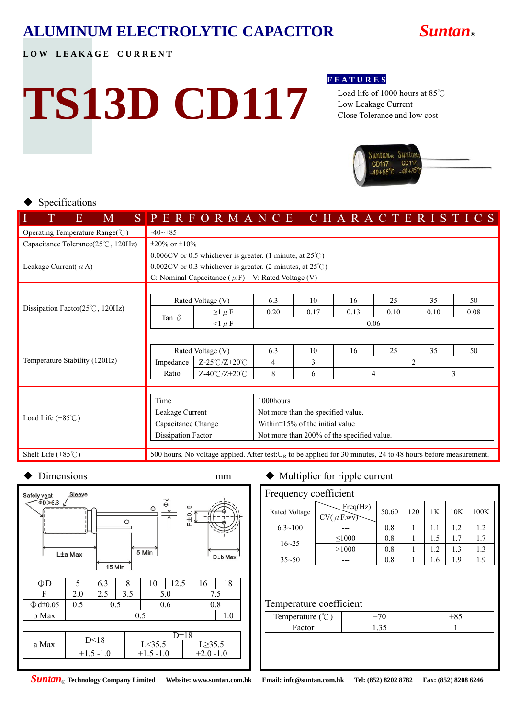### **ALUMINUM ELECTROLYTIC CAPACITOR** *Suntan***®**

LOW LEAKAGE CURRENT

# **TS13D CD117**

#### **F E A T U R E S**

 Load life of 1000 hours at 85℃ Low Leakage Current Close Tolerance and low cost



#### Specifications

| M<br>E                                     |                                                                    |                               |  |                                       |  |      |  |      |      |  |      |                                                                                                                                                   |                                         |  |  |      |  |
|--------------------------------------------|--------------------------------------------------------------------|-------------------------------|--|---------------------------------------|--|------|--|------|------|--|------|---------------------------------------------------------------------------------------------------------------------------------------------------|-----------------------------------------|--|--|------|--|
| Operating Temperature Range(°C)            | $-40 - 85$                                                         |                               |  |                                       |  |      |  |      |      |  |      |                                                                                                                                                   |                                         |  |  |      |  |
| Capacitance Tolerance(25°C, 120Hz)         | $\pm 20\%$ or $\pm 10\%$                                           |                               |  |                                       |  |      |  |      |      |  |      |                                                                                                                                                   |                                         |  |  |      |  |
|                                            | 0.006CV or 0.5 whichever is greater. (1 minute, at $25^{\circ}$ C) |                               |  |                                       |  |      |  |      |      |  |      |                                                                                                                                                   |                                         |  |  |      |  |
| Leakage Current( $\mu$ A)                  | $0.002CV$ or 0.3 whichever is greater. (2 minutes, at $25°C$ )     |                               |  |                                       |  |      |  |      |      |  |      |                                                                                                                                                   |                                         |  |  |      |  |
|                                            | C: Nominal Capacitance ( $\mu$ F) V: Rated Voltage (V)             |                               |  |                                       |  |      |  |      |      |  |      |                                                                                                                                                   |                                         |  |  |      |  |
|                                            |                                                                    |                               |  |                                       |  |      |  |      |      |  |      |                                                                                                                                                   |                                         |  |  |      |  |
|                                            |                                                                    | Rated Voltage (V)             |  | 6.3                                   |  | 10   |  | 16   |      |  | 25   |                                                                                                                                                   |                                         |  |  | 50   |  |
| Dissipation Factor( $25^{\circ}$ C, 120Hz) | Tan $\delta$                                                       | $\geq$ 1 $\mu$ F              |  | 0.20                                  |  | 0.17 |  | 0.13 |      |  | 0.10 |                                                                                                                                                   |                                         |  |  | 0.08 |  |
|                                            |                                                                    | $\leq$ 1 $\mu$ F              |  |                                       |  |      |  |      | 0.06 |  |      |                                                                                                                                                   | 35<br>0.10<br>35<br>$\mathfrak{D}$<br>3 |  |  |      |  |
|                                            |                                                                    |                               |  |                                       |  |      |  |      |      |  |      |                                                                                                                                                   |                                         |  |  |      |  |
|                                            | Rated Voltage (V)                                                  |                               |  | 6.3                                   |  | 10   |  | 16   |      |  | 25   |                                                                                                                                                   |                                         |  |  | 50   |  |
| Temperature Stability (120Hz)              | Impedance                                                          | $Z-25^{\circ}C/Z+20^{\circ}C$ |  | $\overline{4}$                        |  | 3    |  |      |      |  |      | SPERFORMANCE CHARACTERISTICS<br>500 hours. No voltage applied. After test: $U_R$ to be applied for 30 minutes, 24 to 48 hours before measurement. |                                         |  |  |      |  |
|                                            | Ratio                                                              | Z-40℃/Z+20℃                   |  | 8                                     |  | 6    |  |      | 4    |  |      |                                                                                                                                                   |                                         |  |  |      |  |
|                                            |                                                                    |                               |  |                                       |  |      |  |      |      |  |      |                                                                                                                                                   |                                         |  |  |      |  |
|                                            | Time<br>1000hours                                                  |                               |  |                                       |  |      |  |      |      |  |      |                                                                                                                                                   |                                         |  |  |      |  |
|                                            | Leakage Current                                                    |                               |  | Not more than the specified value.    |  |      |  |      |      |  |      |                                                                                                                                                   |                                         |  |  |      |  |
| Load Life $(+85^{\circ}$ C)                | Capacitance Change                                                 |                               |  | Within $\pm$ 15% of the initial value |  |      |  |      |      |  |      |                                                                                                                                                   |                                         |  |  |      |  |
|                                            | Dissipation Factor<br>Not more than 200% of the specified value.   |                               |  |                                       |  |      |  |      |      |  |      |                                                                                                                                                   |                                         |  |  |      |  |
|                                            |                                                                    |                               |  |                                       |  |      |  |      |      |  |      |                                                                                                                                                   |                                         |  |  |      |  |
| Shelf Life $(+85^{\circ}\text{C})$         |                                                                    |                               |  |                                       |  |      |  |      |      |  |      |                                                                                                                                                   |                                         |  |  |      |  |



#### $D$ imensions mm  $\blacklozenge$  Multiplier for ripple current

| Frequency coefficient |                            |       |     |     |     |      |  |  |  |  |
|-----------------------|----------------------------|-------|-----|-----|-----|------|--|--|--|--|
| Rated Voltage         | Freq(Hz)<br>$CV(\mu F.wV)$ | 50.60 | 120 | 1K  | 10K | 100K |  |  |  |  |
| $6.3 \sim 100$        |                            | 0.8   |     | 1.1 | 12  | 1.2  |  |  |  |  |
| $16 - 25$             | $\leq 1000$                | 0.8   |     | 1.5 | 17  | 1.7  |  |  |  |  |
|                       | >1000                      | 0.8   |     | 1.2 | 1.3 | 1.3  |  |  |  |  |
| $35 - 50$             |                            | 0.8   |     | 1.6 | 1.9 | 1.9  |  |  |  |  |

#### Temperature coefficient

| m<br>emperat<br>≒ur≏<br><b>TAIL</b> |   |  |
|-------------------------------------|---|--|
|                                     | . |  |

#### *Suntan*® **Technology Company Limited Website: www.suntan.com.hk Email: info@suntan.com.hk Tel: (852) 8202 8782 Fax: (852) 8208 6246**